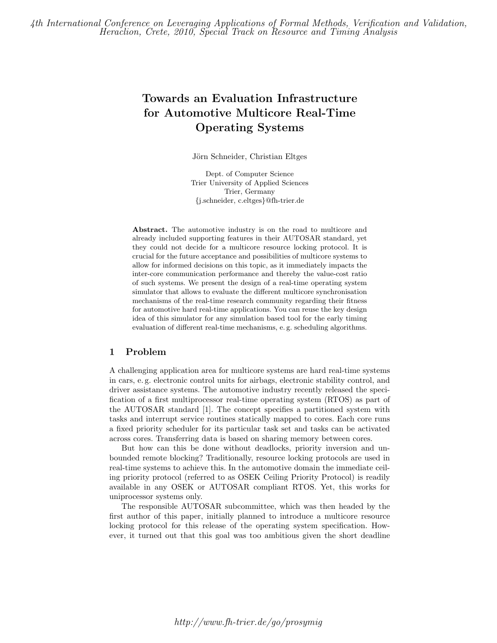4th International Conference on Leveraging Applications of Formal Methods, Verification and Validation, Heraclion, Crete, 2010, Special Track on Resource and Timing Analysis

# Towards an Evaluation Infrastructure for Automotive Multicore Real-Time Operating Systems

Jörn Schneider, Christian Eltges

Dept. of Computer Science Trier University of Applied Sciences Trier, Germany {j.schneider, c.eltges}@fh-trier.de

Abstract. The automotive industry is on the road to multicore and already included supporting features in their AUTOSAR standard, yet they could not decide for a multicore resource locking protocol. It is crucial for the future acceptance and possibilities of multicore systems to allow for informed decisions on this topic, as it immediately impacts the inter-core communication performance and thereby the value-cost ratio of such systems. We present the design of a real-time operating system simulator that allows to evaluate the different multicore synchronisation mechanisms of the real-time research community regarding their fitness for automotive hard real-time applications. You can reuse the key design idea of this simulator for any simulation based tool for the early timing evaluation of different real-time mechanisms, e. g. scheduling algorithms.

### 1 Problem

A challenging application area for multicore systems are hard real-time systems in cars, e. g. electronic control units for airbags, electronic stability control, and driver assistance systems. The automotive industry recently released the specification of a first multiprocessor real-time operating system (RTOS) as part of the AUTOSAR standard [1]. The concept specifies a partitioned system with tasks and interrupt service routines statically mapped to cores. Each core runs a fixed priority scheduler for its particular task set and tasks can be activated across cores. Transferring data is based on sharing memory between cores.

But how can this be done without deadlocks, priority inversion and unbounded remote blocking? Traditionally, resource locking protocols are used in real-time systems to achieve this. In the automotive domain the immediate ceiling priority protocol (referred to as OSEK Ceiling Priority Protocol) is readily available in any OSEK or AUTOSAR compliant RTOS. Yet, this works for uniprocessor systems only.

The responsible AUTOSAR subcommittee, which was then headed by the first author of this paper, initially planned to introduce a multicore resource locking protocol for this release of the operating system specification. However, it turned out that this goal was too ambitious given the short deadline

http://www.fh-trier.de/go/prosymig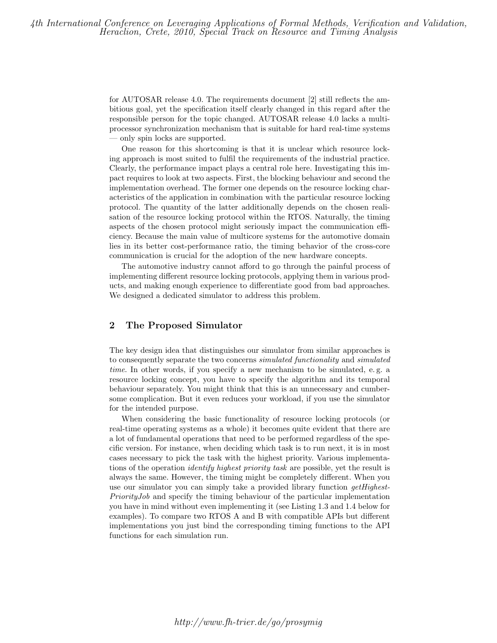for AUTOSAR release 4.0. The requirements document [2] still reflects the ambitious goal, yet the specification itself clearly changed in this regard after the responsible person for the topic changed. AUTOSAR release 4.0 lacks a multiprocessor synchronization mechanism that is suitable for hard real-time systems — only spin locks are supported.

One reason for this shortcoming is that it is unclear which resource locking approach is most suited to fulfil the requirements of the industrial practice. Clearly, the performance impact plays a central role here. Investigating this impact requires to look at two aspects. First, the blocking behaviour and second the implementation overhead. The former one depends on the resource locking characteristics of the application in combination with the particular resource locking protocol. The quantity of the latter additionally depends on the chosen realisation of the resource locking protocol within the RTOS. Naturally, the timing aspects of the chosen protocol might seriously impact the communication efficiency. Because the main value of multicore systems for the automotive domain lies in its better cost-performance ratio, the timing behavior of the cross-core communication is crucial for the adoption of the new hardware concepts.

The automotive industry cannot afford to go through the painful process of implementing different resource locking protocols, applying them in various products, and making enough experience to differentiate good from bad approaches. We designed a dedicated simulator to address this problem.

## 2 The Proposed Simulator

The key design idea that distinguishes our simulator from similar approaches is to consequently separate the two concerns simulated functionality and simulated time. In other words, if you specify a new mechanism to be simulated, e. g. a resource locking concept, you have to specify the algorithm and its temporal behaviour separately. You might think that this is an unnecessary and cumbersome complication. But it even reduces your workload, if you use the simulator for the intended purpose.

When considering the basic functionality of resource locking protocols (or real-time operating systems as a whole) it becomes quite evident that there are a lot of fundamental operations that need to be performed regardless of the specific version. For instance, when deciding which task is to run next, it is in most cases necessary to pick the task with the highest priority. Various implementations of the operation identify highest priority task are possible, yet the result is always the same. However, the timing might be completely different. When you use our simulator you can simply take a provided library function *getHighest*-PriorityJob and specify the timing behaviour of the particular implementation you have in mind without even implementing it (see Listing 1.3 and 1.4 below for examples). To compare two RTOS A and B with compatible APIs but different implementations you just bind the corresponding timing functions to the API functions for each simulation run.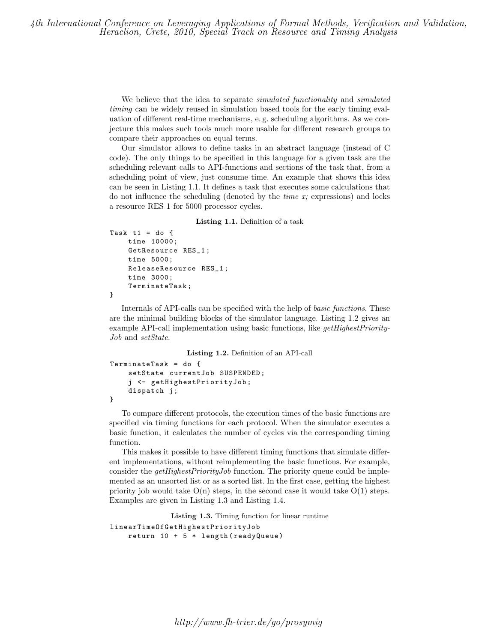We believe that the idea to separate *simulated functionality* and *simulated* timing can be widely reused in simulation based tools for the early timing evaluation of different real-time mechanisms, e. g. scheduling algorithms. As we conjecture this makes such tools much more usable for different research groups to compare their approaches on equal terms.

Our simulator allows to define tasks in an abstract language (instead of C code). The only things to be specified in this language for a given task are the scheduling relevant calls to API-functions and sections of the task that, from a scheduling point of view, just consume time. An example that shows this idea can be seen in Listing 1.1. It defines a task that executes some calculations that do not influence the scheduling (denoted by the time x; expressions) and locks a resource RES 1 for 5000 processor cycles.

Listing 1.1. Definition of a task

```
Task t1 = do {
    time 10000;
    GetResource RES_1 ;
    time 5000;
    ReleaseResource RES_1 ;
    time 3000;
    TerminateTask ;
}
```
Internals of API-calls can be specified with the help of basic functions. These are the minimal building blocks of the simulator language. Listing 1.2 gives an example API-call implementation using basic functions, like *getHighestPriority-*Job and setState.

Listing 1.2. Definition of an API-call

```
TerminateTask = do {
    setState currentJob SUSPENDED ;
    j <- getHighestPriorityJob ;
    dispatch j;
}
```
To compare different protocols, the execution times of the basic functions are specified via timing functions for each protocol. When the simulator executes a basic function, it calculates the number of cycles via the corresponding timing function.

This makes it possible to have different timing functions that simulate different implementations, without reimplementing the basic functions. For example, consider the *getHighestPriorityJob* function. The priority queue could be implemented as an unsorted list or as a sorted list. In the first case, getting the highest priority job would take  $O(n)$  steps, in the second case it would take  $O(1)$  steps. Examples are given in Listing 1.3 and Listing 1.4.

```
Listing 1.3. Timing function for linear runtime
linearTimeOfGetHighestPriorityJob
    return 10 + 5 * length ( readyQueue )
```
http://www.fh-trier.de/go/prosymig